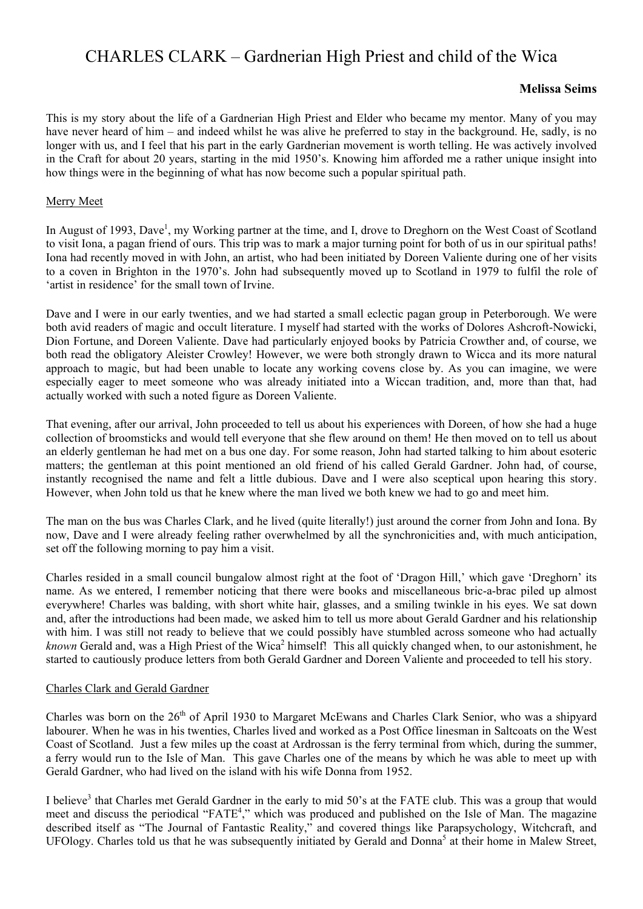# CHARLES CLARK – Gardnerian High Priest and child of the Wica

## **Melissa Seims**

This is my story about the life of a Gardnerian High Priest and Elder who became my mentor. Many of you may have never heard of him – and indeed whilst he was alive he preferred to stay in the background. He, sadly, is no longer with us, and I feel that his part in the early Gardnerian movement is worth telling. He was actively involved in the Craft for about 20 years, starting in the mid 1950's. Knowing him afforded me a rather unique insight into how things were in the beginning of what has now become such a popular spiritual path.

#### Merry Meet

In August of 1993, Dave<sup>1</sup>, my Working partner at the time, and I, drove to Dreghorn on the West Coast of Scotland to visit Iona, a pagan friend of ours. This trip was to mark a major turning point for both of us in our spiritual paths! Iona had recently moved in with John, an artist, who had been initiated by Doreen Valiente during one of her visits to a coven in Brighton in the 1970's. John had subsequently moved up to Scotland in 1979 to fulfil the role of 'artist in residence' for the small town of Irvine.

Dave and I were in our early twenties, and we had started a small eclectic pagan group in Peterborough. We were both avid readers of magic and occult literature. I myself had started with the works of Dolores Ashcroft-Nowicki, Dion Fortune, and Doreen Valiente. Dave had particularly enjoyed books by Patricia Crowther and, of course, we both read the obligatory Aleister Crowley! However, we were both strongly drawn to Wicca and its more natural approach to magic, but had been unable to locate any working covens close by. As you can imagine, we were especially eager to meet someone who was already initiated into a Wiccan tradition, and, more than that, had actually worked with such a noted figure as Doreen Valiente.

That evening, after our arrival, John proceeded to tell us about his experiences with Doreen, of how she had a huge collection of broomsticks and would tell everyone that she flew around on them! He then moved on to tell us about an elderly gentleman he had met on a bus one day. For some reason, John had started talking to him about esoteric matters; the gentleman at this point mentioned an old friend of his called Gerald Gardner. John had, of course, instantly recognised the name and felt a little dubious. Dave and I were also sceptical upon hearing this story. However, when John told us that he knew where the man lived we both knew we had to go and meet him.

The man on the bus was Charles Clark, and he lived (quite literally!) just around the corner from John and Iona. By now, Dave and I were already feeling rather overwhelmed by all the synchronicities and, with much anticipation, set off the following morning to pay him a visit.

Charles resided in a small council bungalow almost right at the foot of 'Dragon Hill,' which gave 'Dreghorn' its name. As we entered, I remember noticing that there were books and miscellaneous bric-a-brac piled up almost everywhere! Charles was balding, with short white hair, glasses, and a smiling twinkle in his eyes. We sat down and, after the introductions had been made, we asked him to tell us more about Gerald Gardner and his relationship with him. I was still not ready to believe that we could possibly have stumbled across someone who had actually *known* Gerald and, was a High Priest of the Wica<sup>2</sup> himself! This all quickly changed when, to our astonishment, he started to cautiously produce letters from both Gerald Gardner and Doreen Valiente and proceeded to tell his story.

#### Charles Clark and Gerald Gardner

Charles was born on the 26<sup>th</sup> of April 1930 to Margaret McEwans and Charles Clark Senior, who was a shipyard labourer. When he was in his twenties, Charles lived and worked as a Post Office linesman in Saltcoats on the West Coast of Scotland. Just a few miles up the coast at Ardrossan is the ferry terminal from which, during the summer, a ferry would run to the Isle of Man. This gave Charles one of the means by which he was able to meet up with Gerald Gardner, who had lived on the island with his wife Donna from 1952.

I believe<sup>3</sup> that Charles met Gerald Gardner in the early to mid 50's at the FATE club. This was a group that would meet and discuss the periodical "FATE<sup>4</sup>," which was produced and published on the Isle of Man. The magazine described itself as "The Journal of Fantastic Reality," and covered things like Parapsychology, Witchcraft, and UFOlogy. Charles told us that he was subsequently initiated by Gerald and Donna<sup>5</sup> at their home in Malew Street,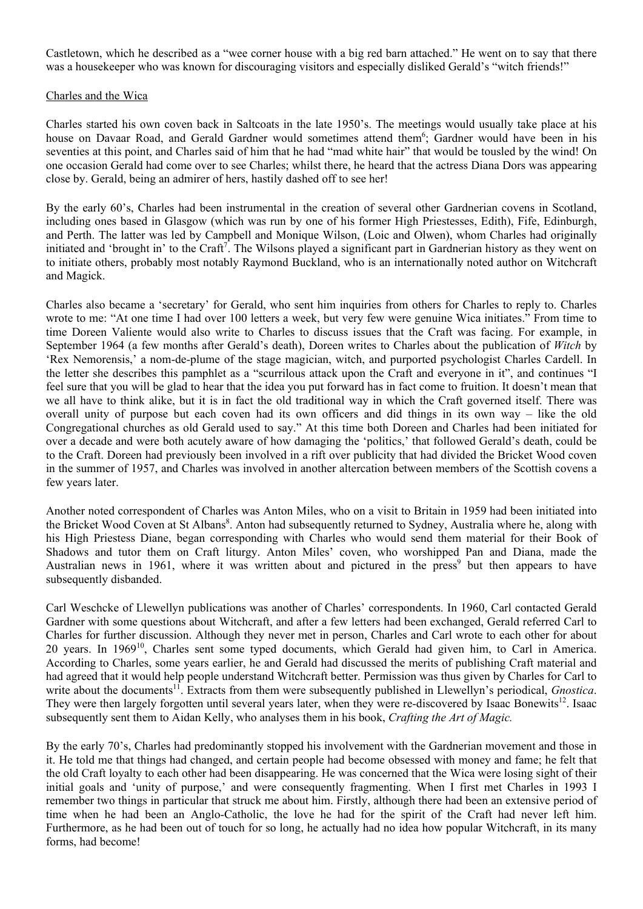Castletown, which he described as a "wee corner house with a big red barn attached." He went on to say that there was a housekeeper who was known for discouraging visitors and especially disliked Gerald's "witch friends!"

#### Charles and the Wica

Charles started his own coven back in Saltcoats in the late 1950's. The meetings would usually take place at his house on Davaar Road, and Gerald Gardner would sometimes attend them<sup>6</sup>; Gardner would have been in his seventies at this point, and Charles said of him that he had "mad white hair" that would be tousled by the wind! On one occasion Gerald had come over to see Charles; whilst there, he heard that the actress Diana Dors was appearing close by. Gerald, being an admirer of hers, hastily dashed off to see her!

By the early 60's, Charles had been instrumental in the creation of several other Gardnerian covens in Scotland, including ones based in Glasgow (which was run by one of his former High Priestesses, Edith), Fife, Edinburgh, and Perth. The latter was led by Campbell and Monique Wilson, (Loic and Olwen), whom Charles had originally initiated and 'brought in' to the Craft<sup>7</sup>. The Wilsons played a significant part in Gardnerian history as they went on to initiate others, probably most notably Raymond Buckland, who is an internationally noted author on Witchcraft and Magick.

Charles also became a 'secretary' for Gerald, who sent him inquiries from others for Charles to reply to. Charles wrote to me: "At one time I had over 100 letters a week, but very few were genuine Wica initiates." From time to time Doreen Valiente would also write to Charles to discuss issues that the Craft was facing. For example, in September 1964 (a few months after Gerald's death), Doreen writes to Charles about the publication of *Witch* by 'Rex Nemorensis,' a nom-de-plume of the stage magician, witch, and purported psychologist Charles Cardell. In the letter she describes this pamphlet as a "scurrilous attack upon the Craft and everyone in it", and continues "I feel sure that you will be glad to hear that the idea you put forward has in fact come to fruition. It doesn't mean that we all have to think alike, but it is in fact the old traditional way in which the Craft governed itself. There was overall unity of purpose but each coven had its own officers and did things in its own way – like the old Congregational churches as old Gerald used to say." At this time both Doreen and Charles had been initiated for over a decade and were both acutely aware of how damaging the 'politics,' that followed Gerald's death, could be to the Craft. Doreen had previously been involved in a rift over publicity that had divided the Bricket Wood coven in the summer of 1957, and Charles was involved in another altercation between members of the Scottish covens a few years later.

Another noted correspondent of Charles was Anton Miles, who on a visit to Britain in 1959 had been initiated into the Bricket Wood Coven at St Albans<sup>8</sup>. Anton had subsequently returned to Sydney, Australia where he, along with his High Priestess Diane, began corresponding with Charles who would send them material for their Book of Shadows and tutor them on Craft liturgy. Anton Miles' coven, who worshipped Pan and Diana, made the Australian news in 1961, where it was written about and pictured in the press<sup>9</sup> but then appears to have subsequently disbanded.

Carl Weschcke of Llewellyn publications was another of Charles' correspondents. In 1960, Carl contacted Gerald Gardner with some questions about Witchcraft, and after a few letters had been exchanged, Gerald referred Carl to Charles for further discussion. Although they never met in person, Charles and Carl wrote to each other for about 20 years. In 196910, Charles sent some typed documents, which Gerald had given him, to Carl in America. According to Charles, some years earlier, he and Gerald had discussed the merits of publishing Craft material and had agreed that it would help people understand Witchcraft better. Permission was thus given by Charles for Carl to write about the documents<sup>11</sup>. Extracts from them were subsequently published in Llewellyn's periodical, *Gnostica*. They were then largely forgotten until several years later, when they were re-discovered by Isaac Bonewits<sup>12</sup>. Isaac subsequently sent them to Aidan Kelly, who analyses them in his book, *Crafting the Art of Magic.*

By the early 70's, Charles had predominantly stopped his involvement with the Gardnerian movement and those in it. He told me that things had changed, and certain people had become obsessed with money and fame; he felt that the old Craft loyalty to each other had been disappearing. He was concerned that the Wica were losing sight of their initial goals and 'unity of purpose,' and were consequently fragmenting. When I first met Charles in 1993 I remember two things in particular that struck me about him. Firstly, although there had been an extensive period of time when he had been an Anglo-Catholic, the love he had for the spirit of the Craft had never left him. Furthermore, as he had been out of touch for so long, he actually had no idea how popular Witchcraft, in its many forms, had become!